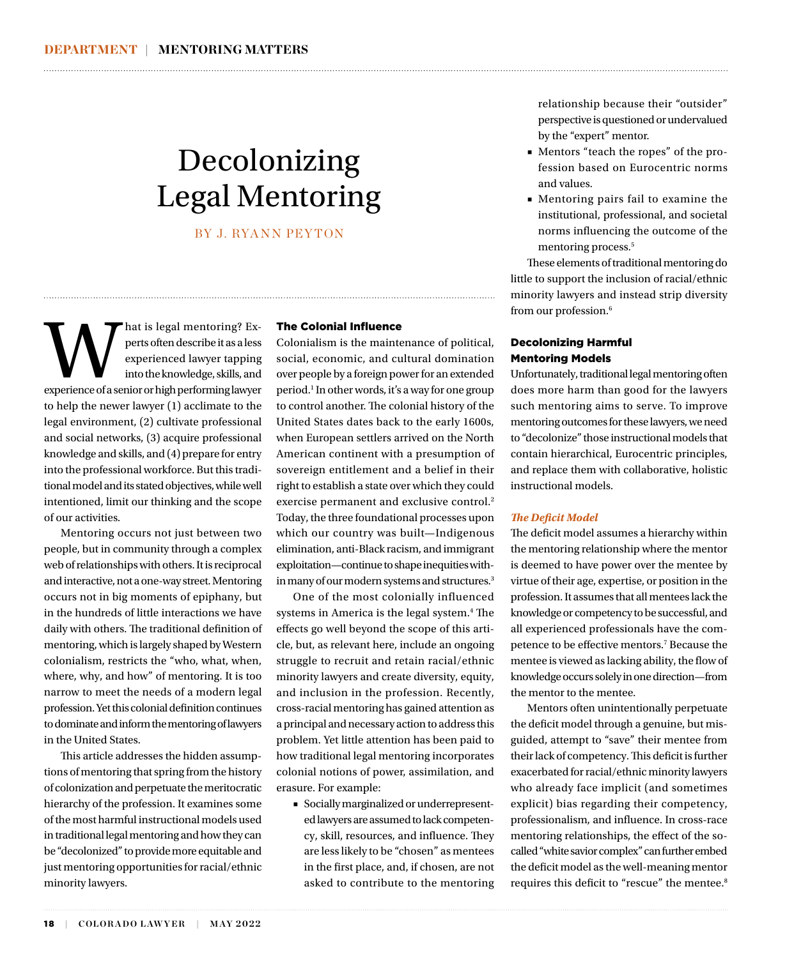# Decolonizing Legal Mentoring

BY J. RYANN PEYTON

and the sequel mentoring? Experts often describe it as a less experienced lawyer tapping into the knowledge, skills, and experience of a senior or high performing lawyer perts often describe it as a less experienced lawyer tapping into the knowledge, skills, and to help the newer lawyer (1) acclimate to the legal environment, (2) cultivate professional and social networks, (3) acquire professional knowledge and skills, and (4) prepare for entry into the professional workforce. But this traditional model and its stated objectives, while well intentioned, limit our thinking and the scope of our activities.

Mentoring occurs not just between two people, but in community through a complex web of relationships with others. It is reciprocal and interactive, not a one-way street. Mentoring occurs not in big moments of epiphany, but in the hundreds of little interactions we have daily with others. The traditional definition of mentoring, which is largely shaped by Western colonialism, restricts the "who, what, when, where, why, and how" of mentoring. It is too narrow to meet the needs of a modern legal profession. Yet this colonial definition continues to dominate and inform the mentoring of lawyers in the United States.

This article addresses the hidden assumptions of mentoring that spring from the history of colonization and perpetuate the meritocratic hierarchy of the profession. It examines some of the most harmful instructional models used in traditional legal mentoring and how they can be "decolonized" to provide more equitable and just mentoring opportunities for racial/ethnic minority lawyers.

18 | COLORADO LAWYER | MAY 2022

## The Colonial Influence

Colonialism is the maintenance of political, social, economic, and cultural domination over people by a foreign power for an extended period.1 In other words, it's a way for one group to control another. The colonial history of the United States dates back to the early 1600s, when European settlers arrived on the North American continent with a presumption of sovereign entitlement and a belief in their right to establish a state over which they could exercise permanent and exclusive control.<sup>2</sup> Today, the three foundational processes upon which our country was built—Indigenous elimination, anti-Black racism, and immigrant exploitation—continue to shape inequities within many of our modern systems and structures.<sup>3</sup>

One of the most colonially influenced systems in America is the legal system.4 The effects go well beyond the scope of this article, but, as relevant here, include an ongoing struggle to recruit and retain racial/ethnic minority lawyers and create diversity, equity, and inclusion in the profession. Recently, cross-racial mentoring has gained attention as a principal and necessary action to address this problem. Yet little attention has been paid to how traditional legal mentoring incorporates colonial notions of power, assimilation, and erasure. For example:

■ Socially marginalized or underrepresented lawyers are assumed to lack competency, skill, resources, and influence. They are less likely to be "chosen" as mentees in the first place, and, if chosen, are not asked to contribute to the mentoring

relationship because their "outsider" perspective is questioned or undervalued by the "expert" mentor.

- Mentors "teach the ropes" of the profession based on Eurocentric norms and values.
- Mentoring pairs fail to examine the institutional, professional, and societal norms influencing the outcome of the mentoring process.<sup>5</sup>

These elements of traditional mentoring do little to support the inclusion of racial/ethnic minority lawyers and instead strip diversity from our profession.<sup>6</sup>

does more harm than good for the lawyers such mentoring aims to serve. To improve mentoring outcomes for these lawyers, we need to "decolonize" those instructional models that contain hierarchical, Eurocentric principles, and replace them with collaborative, holistic instructional models.

### *The Deficit Model*

The deficit model assumes a hierarchy within the mentoring relationship where the mentor is deemed to have power over the mentee by virtue of their age, expertise, or position in the profession. It assumes that all mentees lack the knowledge or competency to be successful, and all experienced professionals have the competence to be effective mentors.7 Because the mentee is viewed as lacking ability, the flow of knowledge occurs solely in one direction—from the mentor to the mentee.

Mentors often unintentionally perpetuate the deficit model through a genuine, but misguided, attempt to "save" their mentee from their lack of competency. This deficit is further exacerbated for racial/ethnic minority lawyers who already face implicit (and sometimes explicit) bias regarding their competency, professionalism, and influence. In cross-race mentoring relationships, the effect of the socalled "white savior complex" can further embed the deficit model as the well-meaning mentor requires this deficit to "rescue" the mentee.<sup>8</sup>

Decolonizing Harmful Mentoring Models

Unfortunately, traditional legal mentoring often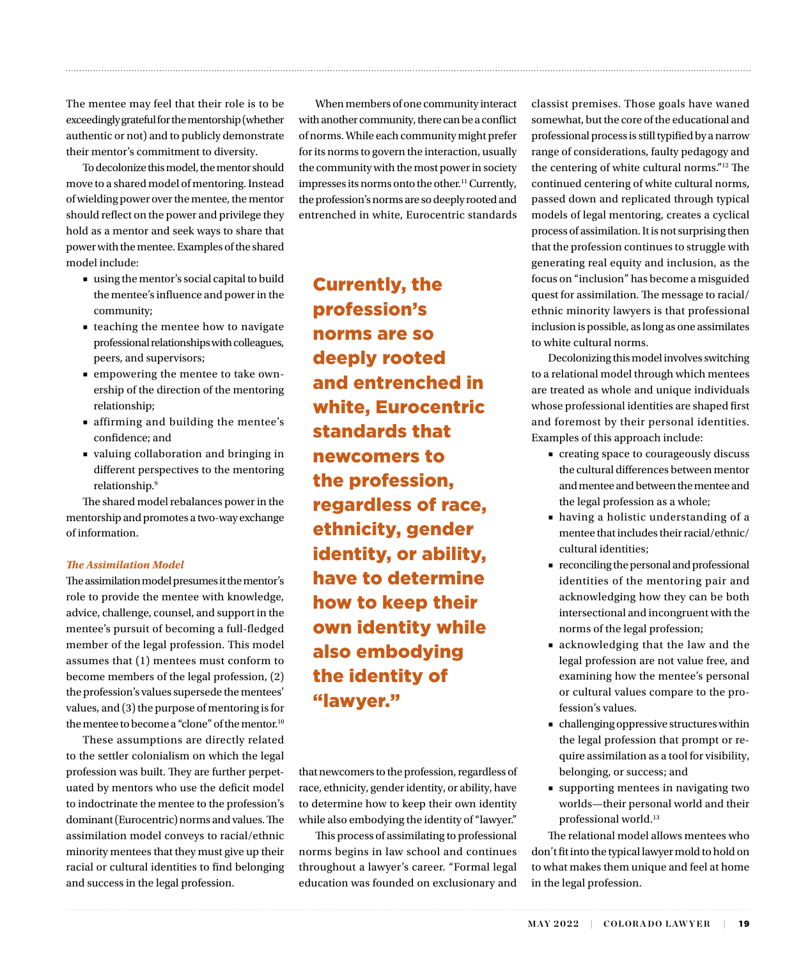The mentee may feel that their role is to be exceedingly grateful for the mentorship (whether authentic or not) and to publicly demonstrate their mentor's commitment to diversity.

To decolonize this model, the mentor should move to a shared model of mentoring. Instead of wielding power over the mentee, the mentor should reflect on the power and privilege they hold as a mentor and seek ways to share that power with the mentee. Examples of the shared model include:

- using the mentor's social capital to build the mentee's influence and power in the community;
- teaching the mentee how to navigate professional relationships with colleagues, peers, and supervisors;
- empowering the mentee to take ownership of the direction of the mentoring relationship;
- affirming and building the mentee's confidence; and
- valuing collaboration and bringing in different perspectives to the mentoring relationship.9

The shared model rebalances power in the mentorship and promotes a two-way exchange of information.

### *The Assimilation Model*

The assimilation model presumes it the mentor's role to provide the mentee with knowledge, advice, challenge, counsel, and support in the mentee's pursuit of becoming a full-fledged member of the legal profession. This model assumes that (1) mentees must conform to become members of the legal profession, (2) the profession's values supersede the mentees' values, and (3) the purpose of mentoring is for the mentee to become a "clone" of the mentor.<sup>10</sup>

These assumptions are directly related to the settler colonialism on which the legal profession was built. They are further perpetuated by mentors who use the deficit model to indoctrinate the mentee to the profession's dominant (Eurocentric) norms and values. The assimilation model conveys to racial/ethnic minority mentees that they must give up their racial or cultural identities to find belonging and success in the legal profession.

When members of one community interact with another community, there can be a conflict of norms. While each community might prefer for its norms to govern the interaction, usually the community with the most power in society impresses its norms onto the other.<sup>11</sup> Currently, the profession's norms are so deeply rooted and entrenched in white, Eurocentric standards

Currently, the profession's norms are so deeply rooted and entrenched in white, Eurocentric standards that newcomers to the profession, regardless of race, ethnicity, gender identity, or ability, have to determine how to keep their own identity while also embodying the identity of "lawyer."

that newcomers to the profession, regardless of race, ethnicity, gender identity, or ability, have to determine how to keep their own identity while also embodying the identity of "lawyer."

This process of assimilating to professional norms begins in law school and continues throughout a lawyer's career. "Formal legal education was founded on exclusionary and

classist premises. Those goals have waned somewhat, but the core of the educational and professional process is still typified by a narrow range of considerations, faulty pedagogy and the centering of white cultural norms."12 The continued centering of white cultural norms, passed down and replicated through typical models of legal mentoring, creates a cyclical process of assimilation. It is not surprising then that the profession continues to struggle with generating real equity and inclusion, as the focus on "inclusion" has become a misguided quest for assimilation. The message to racial/ ethnic minority lawyers is that professional inclusion is possible, as long as one assimilates to white cultural norms.

Decolonizing this model involves switching to a relational model through which mentees are treated as whole and unique individuals whose professional identities are shaped first and foremost by their personal identities. Examples of this approach include:

- creating space to courageously discuss the cultural differences between mentor and mentee and between the mentee and the legal profession as a whole;
- having a holistic understanding of a mentee that includes their racial/ethnic/ cultural identities;
- reconciling the personal and professional identities of the mentoring pair and acknowledging how they can be both intersectional and incongruent with the norms of the legal profession;
- acknowledging that the law and the legal profession are not value free, and examining how the mentee's personal or cultural values compare to the profession's values.
- challenging oppressive structures within the legal profession that prompt or require assimilation as a tool for visibility, belonging, or success; and
- supporting mentees in navigating two worlds—their personal world and their professional world.13

The relational model allows mentees who don't fit into the typical lawyer mold to hold on to what makes them unique and feel at home in the legal profession.